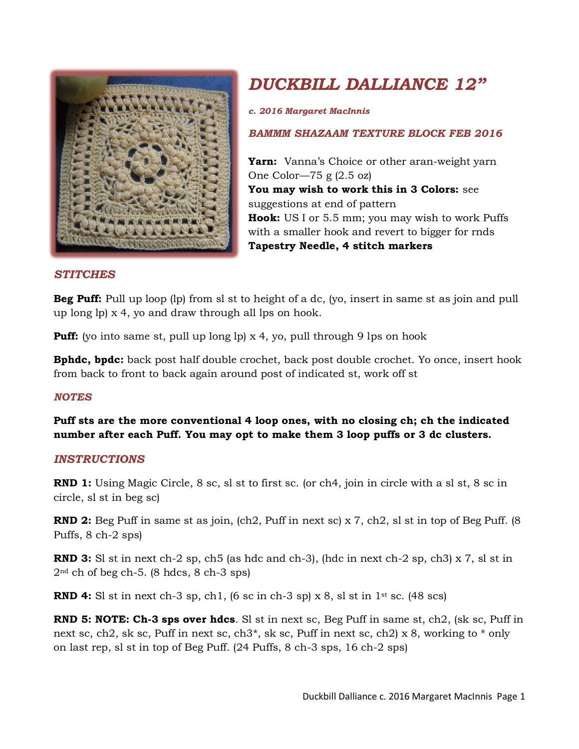

# *DUCKBILL DALLIANCE 12"*

*c. 2016 Margaret MacInnis*

## *BAMMM SHAZAAM TEXTURE BLOCK FEB 2016*

**Yarn:** Vanna's Choice or other aran-weight yarn One Color—75 g (2.5 oz) **You may wish to work this in 3 Colors:** see suggestions at end of pattern **Hook:** US I or 5.5 mm; you may wish to work Puffs with a smaller hook and revert to bigger for rnds **Tapestry Needle, 4 stitch markers**

#### *STITCHES*

**Beg Puff:** Pull up loop (lp) from sl st to height of a dc, (yo, insert in same st as join and pull up long lp) x 4, yo and draw through all lps on hook.

**Puff:** (yo into same st, pull up long lp) x 4, yo, pull through 9 lps on hook

**Bphdc, bpdc:** back post half double crochet, back post double crochet. Yo once, insert hook from back to front to back again around post of indicated st, work off st

#### *NOTES*

**Puff sts are the more conventional 4 loop ones, with no closing ch; ch the indicated number after each Puff. You may opt to make them 3 loop puffs or 3 dc clusters.**

#### *INSTRUCTIONS*

**RND 1:** Using Magic Circle, 8 sc, sl st to first sc. (or ch4, join in circle with a sl st, 8 sc in circle, sl st in beg sc)

**RND 2:** Beg Puff in same st as join, (ch2, Puff in next sc) x 7, ch2, sl st in top of Beg Puff. (8 Puffs, 8 ch-2 sps)

**RND 3:** SI st in next ch-2 sp, ch5 (as hdc and ch-3), (hdc in next ch-2 sp, ch3) x 7, sl st in 2nd ch of beg ch-5. (8 hdcs, 8 ch-3 sps)

**RND 4:** SI st in next ch-3 sp, ch1,  $(6 \text{ sc in ch-3 sp}) \times 8$ , sl st in  $1^{st}$  sc.  $(48 \text{ sc})$ 

**RND 5: NOTE: Ch-3 sps over hdcs**. Sl st in next sc, Beg Puff in same st, ch2, (sk sc, Puff in next sc, ch2, sk sc, Puff in next sc, ch3<sup>\*</sup>, sk sc, Puff in next sc, ch2) x 8, working to  $*$  only on last rep, sl st in top of Beg Puff. (24 Puffs, 8 ch-3 sps, 16 ch-2 sps)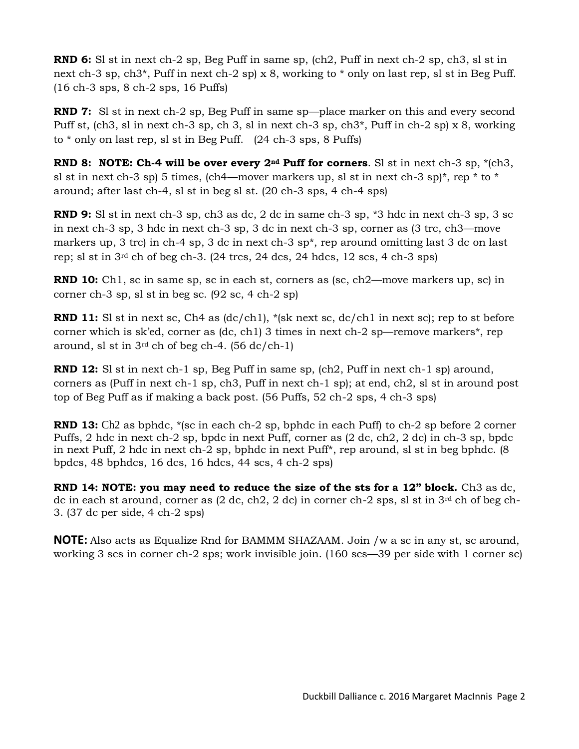**RND 6:** Sl st in next ch-2 sp, Beg Puff in same sp, (ch2, Puff in next ch-2 sp, ch3, sl st in next ch-3 sp, ch3\*, Puff in next ch-2 sp) x 8, working to \* only on last rep, sl st in Beg Puff. (16 ch-3 sps, 8 ch-2 sps, 16 Puffs)

**RND 7:** SI st in next ch-2 sp, Beg Puff in same sp—place marker on this and every second Puff st, (ch3, sl in next ch-3 sp, ch 3, sl in next ch-3 sp, ch3\*, Puff in ch-2 sp) x 8, working to \* only on last rep, sl st in Beg Puff. (24 ch-3 sps, 8 Puffs)

**RND 8: NOTE: Ch-4 will be over every 2nd Puff for corners**. Sl st in next ch-3 sp, \*(ch3, sl st in next ch-3 sp) 5 times, (ch4—mover markers up, sl st in next ch-3 sp)<sup>\*</sup>, rep  $*$  to  $*$ around; after last ch-4, sl st in beg sl st. (20 ch-3 sps, 4 ch-4 sps)

**RND 9:** Sl st in next ch-3 sp, ch3 as dc, 2 dc in same ch-3 sp, \*3 hdc in next ch-3 sp, 3 sc in next ch-3 sp, 3 hdc in next ch-3 sp, 3 dc in next ch-3 sp, corner as (3 trc, ch3—move markers up, 3 trc) in ch-4 sp, 3 dc in next ch-3 sp\*, rep around omitting last 3 dc on last rep; sl st in  $3<sup>rd</sup>$  ch of beg ch-3. (24 trcs, 24 dcs, 24 hdcs, 12 scs, 4 ch-3 sps)

**RND 10:** Ch1, sc in same sp, sc in each st, corners as (sc, ch2—move markers up, sc) in corner ch-3 sp, sl st in beg sc. (92 sc, 4 ch-2 sp)

**RND 11:** SI st in next sc, Ch4 as  $\left(\frac{dc}{ch1}\right)$ , \*(sk next sc, dc/ch1 in next sc); rep to st before corner which is sk'ed, corner as (dc, ch1) 3 times in next ch-2 sp—remove markers\*, rep around, sl st in  $3^{rd}$  ch of beg ch-4. (56 dc/ch-1)

**RND 12:** Sl st in next ch-1 sp, Beg Puff in same sp, (ch2, Puff in next ch-1 sp) around, corners as (Puff in next ch-1 sp, ch3, Puff in next ch-1 sp); at end, ch2, sl st in around post top of Beg Puff as if making a back post. (56 Puffs, 52 ch-2 sps, 4 ch-3 sps)

**RND 13:** Ch<sub>2</sub> as bphdc, \*(sc in each ch-2 sp, bphdc in each Puff) to ch-2 sp before 2 corner Puffs, 2 hdc in next ch-2 sp, bpdc in next Puff, corner as (2 dc, ch2, 2 dc) in ch-3 sp, bpdc in next Puff, 2 hdc in next ch-2 sp, bphdc in next Puff\*, rep around, sl st in beg bphdc. (8 bpdcs, 48 bphdcs, 16 dcs, 16 hdcs, 44 scs, 4 ch-2 sps)

**RND 14: NOTE: you may need to reduce the size of the sts for a 12" block.** Ch3 as dc, dc in each st around, corner as  $(2 \text{ dc}, \text{ch2}, 2 \text{ dc})$  in corner ch-2 sps, sl st in  $3^{\text{rd}}$  ch of beg ch-3. (37 dc per side, 4 ch-2 sps)

**NOTE:** Also acts as Equalize Rnd for BAMMM SHAZAAM. Join /w a sc in any st, sc around, working 3 scs in corner ch-2 sps; work invisible join. (160 scs—39 per side with 1 corner sc)